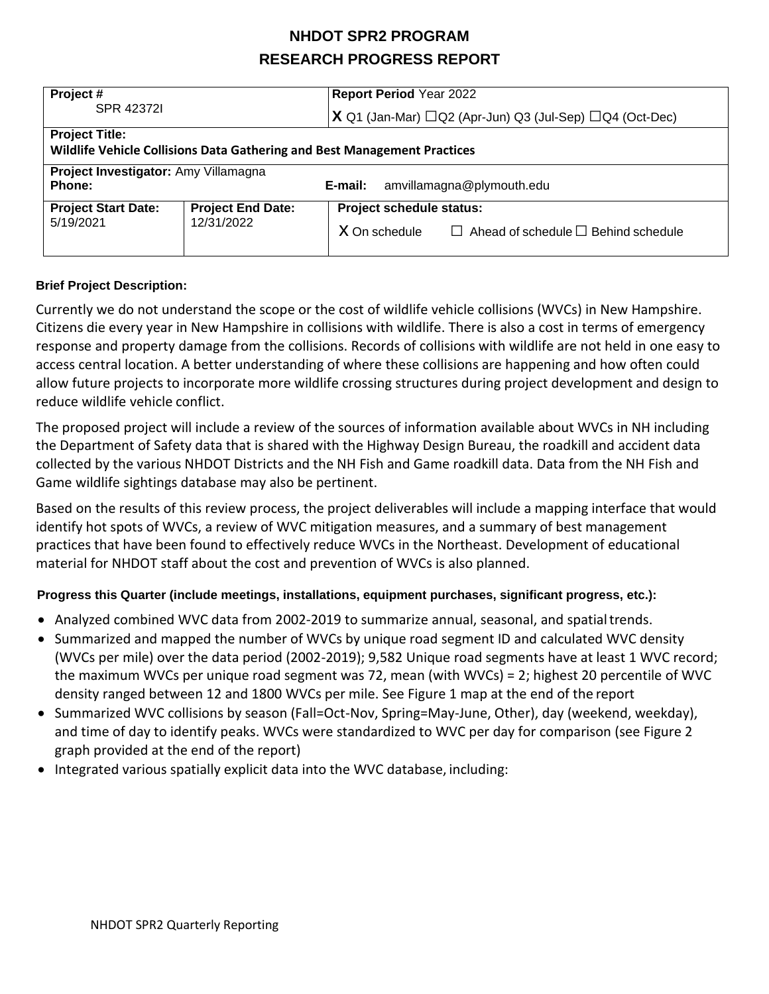| Project#<br>SPR 423721                                                                            |                                        | <b>Report Period Year 2022</b>                                        |  |  |  |  |
|---------------------------------------------------------------------------------------------------|----------------------------------------|-----------------------------------------------------------------------|--|--|--|--|
|                                                                                                   |                                        | $X$ Q1 (Jan-Mar) $\Box$ Q2 (Apr-Jun) Q3 (Jul-Sep) $\Box$ Q4 (Oct-Dec) |  |  |  |  |
| <b>Project Title:</b><br>Wildlife Vehicle Collisions Data Gathering and Best Management Practices |                                        |                                                                       |  |  |  |  |
| Project Investigator: Amy Villamagna<br>Phone:                                                    |                                        | amvillamagna@plymouth.edu<br>E-mail:                                  |  |  |  |  |
| <b>Project Start Date:</b><br>5/19/2021                                                           | <b>Project End Date:</b><br>12/31/2022 | Project schedule status:                                              |  |  |  |  |
|                                                                                                   |                                        | X On schedule<br>$\Box$ Ahead of schedule $\Box$ Behind schedule      |  |  |  |  |

### **Brief Project Description:**

Currently we do not understand the scope or the cost of wildlife vehicle collisions (WVCs) in New Hampshire. Citizens die every year in New Hampshire in collisions with wildlife. There is also a cost in terms of emergency response and property damage from the collisions. Records of collisions with wildlife are not held in one easy to access central location. A better understanding of where these collisions are happening and how often could allow future projects to incorporate more wildlife crossing structures during project development and design to reduce wildlife vehicle conflict.

The proposed project will include a review of the sources of information available about WVCs in NH including the Department of Safety data that is shared with the Highway Design Bureau, the roadkill and accident data collected by the various NHDOT Districts and the NH Fish and Game roadkill data. Data from the NH Fish and Game wildlife sightings database may also be pertinent.

Based on the results of this review process, the project deliverables will include a mapping interface that would identify hot spots of WVCs, a review of WVC mitigation measures, and a summary of best management practices that have been found to effectively reduce WVCs in the Northeast. Development of educational material for NHDOT staff about the cost and prevention of WVCs is also planned.

### **Progress this Quarter (include meetings, installations, equipment purchases, significant progress, etc.):**

- Analyzed combined WVC data from 2002-2019 to summarize annual, seasonal, and spatialtrends.
- Summarized and mapped the number of WVCs by unique road segment ID and calculated WVC density (WVCs per mile) over the data period (2002-2019); 9,582 Unique road segments have at least 1 WVC record; the maximum WVCs per unique road segment was 72, mean (with WVCs) = 2; highest 20 percentile of WVC density ranged between 12 and 1800 WVCs per mile. See Figure 1 map at the end of the report
- Summarized WVC collisions by season (Fall=Oct-Nov, Spring=May-June, Other), day (weekend, weekday), and time of day to identify peaks. WVCs were standardized to WVC per day for comparison (see Figure 2 graph provided at the end of the report)
- Integrated various spatially explicit data into the WVC database, including: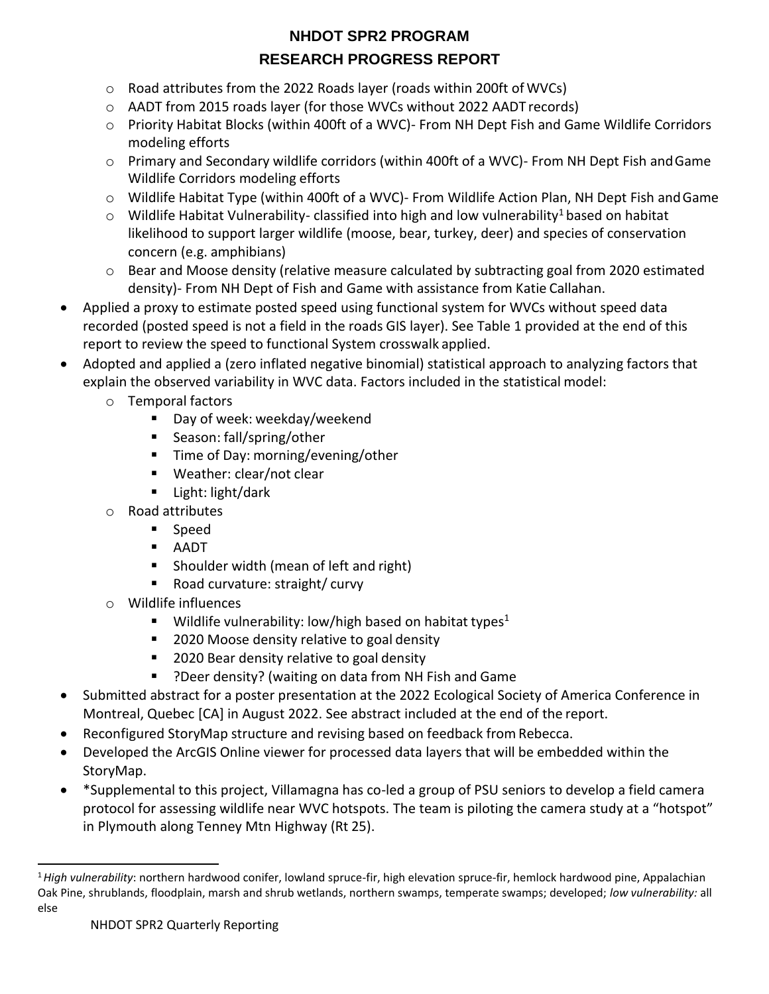- $\circ$  Road attributes from the 2022 Roads layer (roads within 200ft of WVCs)
- o AADT from 2015 roads layer (for those WVCs without 2022 AADT records)
- o Priority Habitat Blocks (within 400ft of a WVC)- From NH Dept Fish and Game Wildlife Corridors modeling efforts
- o Primary and Secondary wildlife corridors (within 400ft of a WVC)- From NH Dept Fish andGame Wildlife Corridors modeling efforts
- o Wildlife Habitat Type (within 400ft of a WVC)- From Wildlife Action Plan, NH Dept Fish andGame
- $\circ$  Wildlife Habitat Vulnerabilit[y](#page-1-0) classified into high and low vulnerability<sup>1</sup> based on habitat likelihood to support larger wildlife (moose, bear, turkey, deer) and species of conservation concern (e.g. amphibians)
- $\circ$  Bear and Moose density (relative measure calculated by subtracting goal from 2020 estimated density)- From NH Dept of Fish and Game with assistance from Katie Callahan.
- Applied a proxy to estimate posted speed using functional system for WVCs without speed data recorded (posted speed is not a field in the roads GIS layer). See Table 1 provided at the end of this report to review the speed to functional System crosswalk applied.
- Adopted and applied a (zero inflated negative binomial) statistical approach to analyzing factors that explain the observed variability in WVC data. Factors included in the statistical model:
	- o Temporal factors
		- Day of week: weekday/weekend
		- Season: fall/spring/other
		- Time of Day: morning/evening/other
		- Weather: clear/not clear
		- Light: light/dark
	- o Road attributes
		- Speed
		- AADT
		- Shoulder width (mean of left and right)
		- Road curvature: straight/ curvy
	- o Wildlife influences
		- **■** Wildlife vulnerability: low/high based on habitat types<sup>1</sup>
		- 2020 Moose density relative to goal density
		- 2020 Bear density relative to goal density
		- ?Deer density? (waiting on data from NH Fish and Game
- Submitted abstract for a poster presentation at the 2022 Ecological Society of America Conference in Montreal, Quebec [CA] in August 2022. See abstract included at the end of the report.
- Reconfigured StoryMap structure and revising based on feedback from Rebecca.
- Developed the ArcGIS Online viewer for processed data layers that will be embedded within the StoryMap.
- \*Supplemental to this project, Villamagna has co-led a group of PSU seniors to develop a field camera protocol for assessing wildlife near WVC hotspots. The team is piloting the camera study at a "hotspot" in Plymouth along Tenney Mtn Highway (Rt 25).

<span id="page-1-0"></span><sup>1</sup>*High vulnerability*: northern hardwood conifer, lowland spruce-fir, high elevation spruce-fir, hemlock hardwood pine, Appalachian Oak Pine, shrublands, floodplain, marsh and shrub wetlands, northern swamps, temperate swamps; developed; *low vulnerability:* all else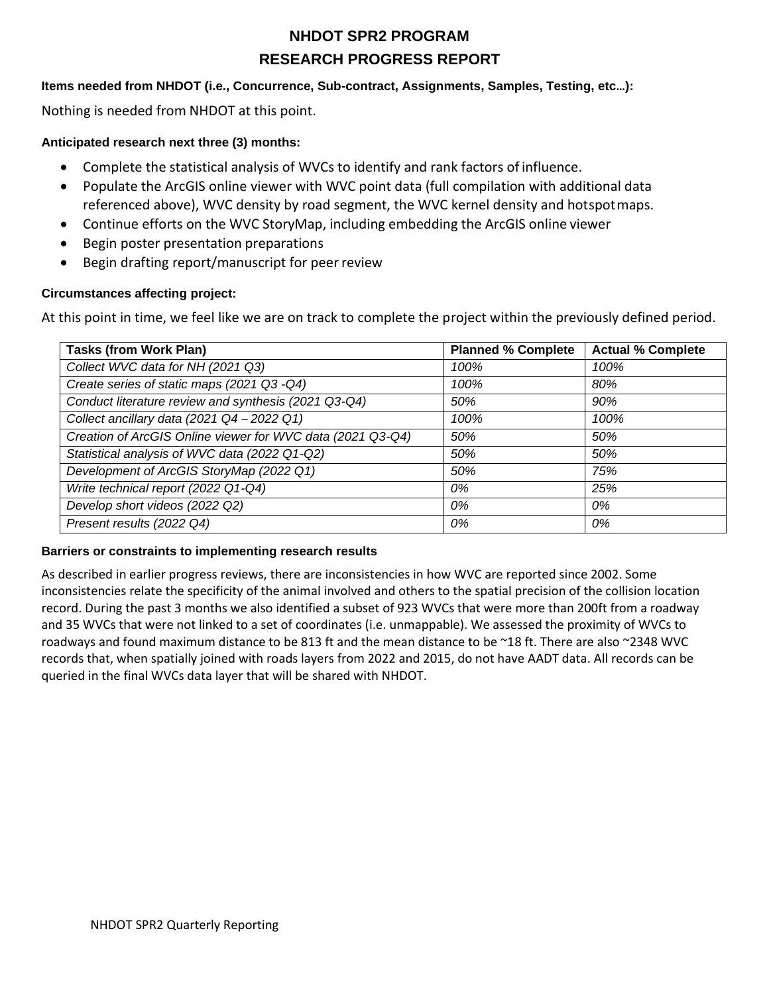### **Items needed from NHDOT (i.e., Concurrence, Sub-contract, Assignments, Samples, Testing, etc…):**

Nothing is needed from NHDOT at this point.

### **Anticipated research next three (3) months:**

- Complete the statistical analysis of WVCs to identify and rank factors of influence.
- Populate the ArcGIS online viewer with WVC point data (full compilation with additional data referenced above), WVC density by road segment, the WVC kernel density and hotspotmaps.
- Continue efforts on the WVC StoryMap, including embedding the ArcGIS online viewer
- Begin poster presentation preparations
- Begin drafting report/manuscript for peer review

### **Circumstances affecting project:**

At this point in time, we feel like we are on track to complete the project within the previously defined period.

| <b>Tasks (from Work Plan)</b>                                | <b>Planned % Complete</b> | <b>Actual % Complete</b> |
|--------------------------------------------------------------|---------------------------|--------------------------|
| Collect WVC data for NH (2021 Q3)                            | 100%                      | 100%                     |
| Create series of static maps (2021 Q3 -Q4)                   | 100%                      | 80%                      |
| Conduct literature review and synthesis (2021 Q3-Q4)         | 50%                       | 90%                      |
| Collect ancillary data $(2021 \text{ Q}4 - 2022 \text{ Q}1)$ | 100%                      | 100%                     |
| Creation of ArcGIS Online viewer for WVC data (2021 Q3-Q4)   | 50%                       | 50%                      |
| Statistical analysis of WVC data (2022 Q1-Q2)                | 50%                       | 50%                      |
| Development of ArcGIS StoryMap (2022 Q1)                     | 50%                       | 75%                      |
| Write technical report (2022 Q1-Q4)                          | 0%                        | 25%                      |
| Develop short videos (2022 Q2)                               | 0%                        | 0%                       |
| Present results (2022 Q4)                                    | 0%                        | 0%                       |

#### **Barriers or constraints to implementing research results**

As described in earlier progress reviews, there are inconsistencies in how WVC are reported since 2002. Some inconsistencies relate the specificity of the animal involved and others to the spatial precision of the collision location record. During the past 3 months we also identified a subset of 923 WVCs that were more than 200ft from a roadway and 35 WVCs that were not linked to a set of coordinates (i.e. unmappable). We assessed the proximity of WVCs to roadways and found maximum distance to be 813 ft and the mean distance to be ~18 ft. There are also ~2348 WVC records that, when spatially joined with roads layers from 2022 and 2015, do not have AADT data. All records can be queried in the final WVCs data layer that will be shared with NHDOT.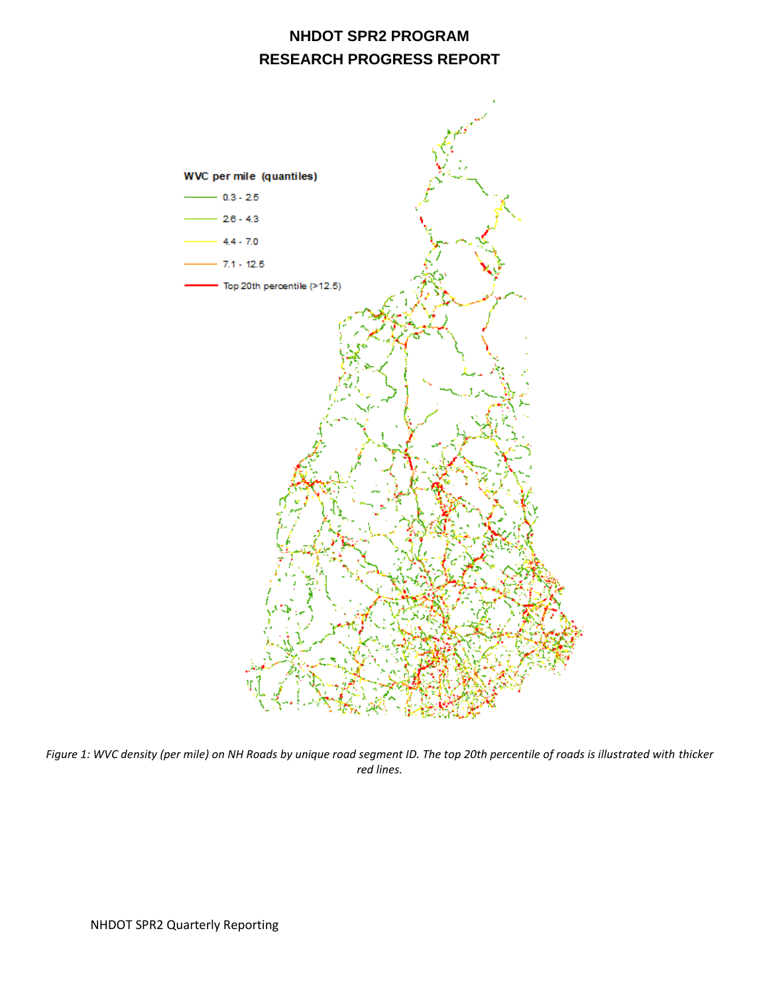

*Figure 1: WVC density (per mile) on NH Roads by unique road segment ID. The top 20th percentile of roads is illustrated with thicker red lines.*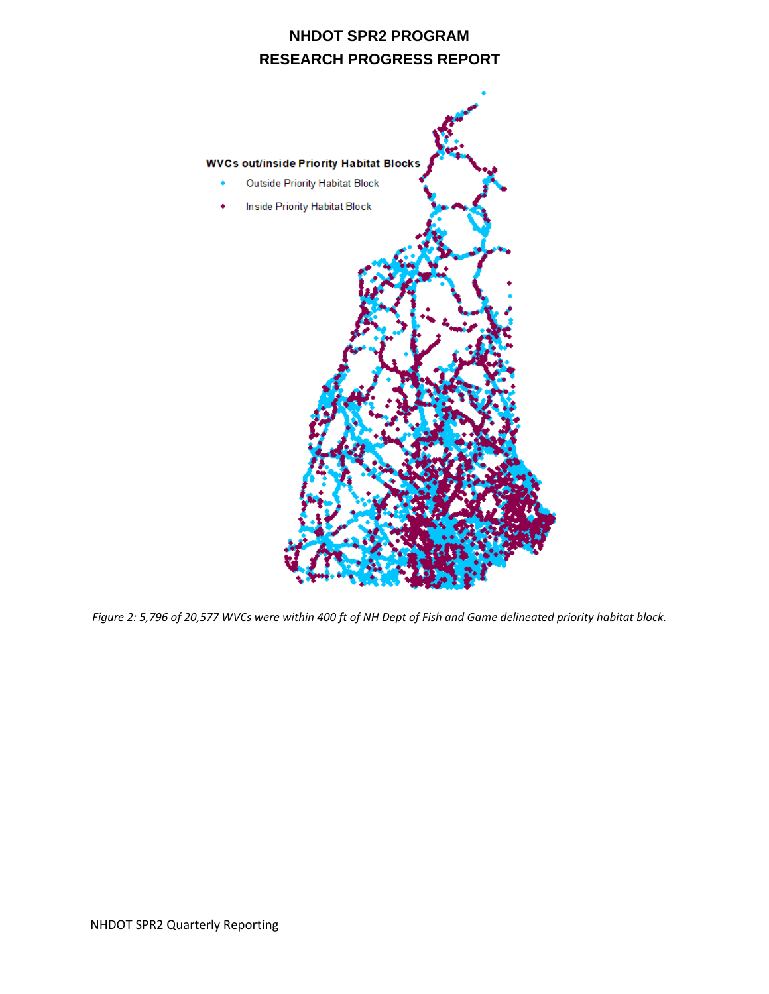

*Figure 2: 5,796 of 20,577 WVCs were within 400 ft of NH Dept of Fish and Game delineated priority habitat block.*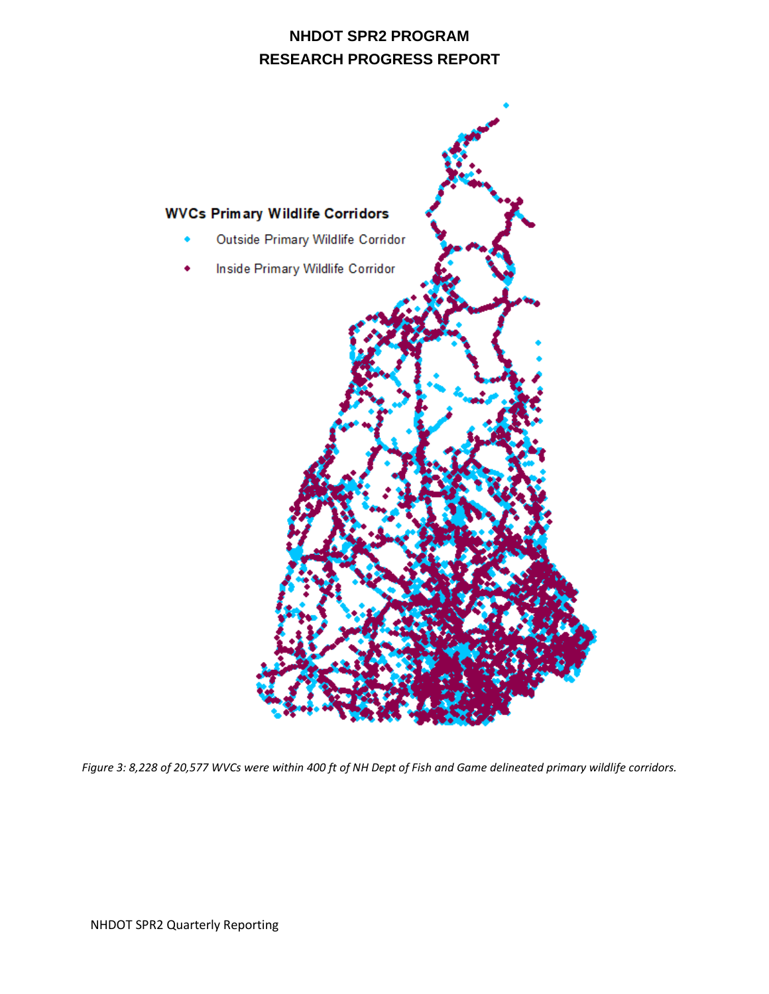

*Figure 3: 8,228 of 20,577 WVCs were within 400 ft of NH Dept of Fish and Game delineated primary wildlife corridors.*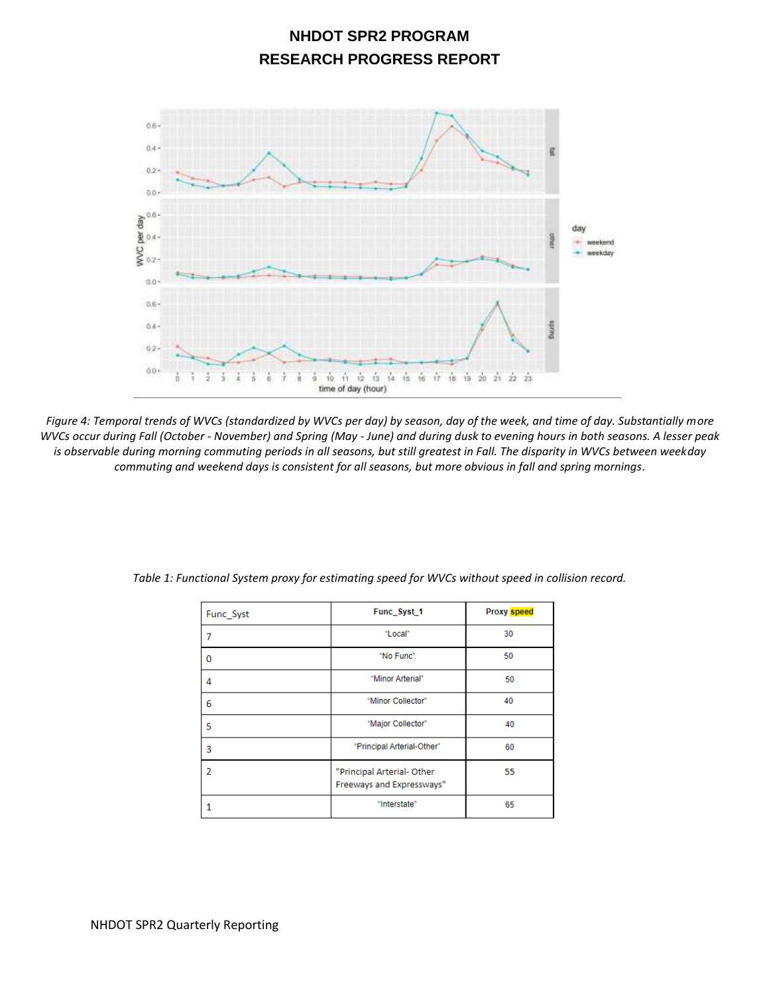

*Figure 4: Temporal trends of WVCs (standardized by WVCs per day) by season, day of the week, and time of day. Substantially more WVCs occur during Fall (October - November) and Spring (May - June) and during dusk to evening hours in both seasons. A lesser peak is observable during morning commuting periods in all seasons, but still greatest in Fall. The disparity in WVCs between weekday commuting and weekend days is consistent for all seasons, but more obvious in fall and spring mornings.*

| Func Syst | Func_Syst_1                                             | <b>Proxy speed</b> |
|-----------|---------------------------------------------------------|--------------------|
| 7         | "Local"                                                 | 30                 |
| $\Omega$  | "No Func"                                               | 50                 |
| 4         | "Minor Arterial"                                        | 50                 |
| 6         | "Minor Collector"                                       | 40                 |
| 5         | "Major Collector"                                       | 40                 |
| 3         | "Principal Arterial-Other"                              | 60                 |
| 2         | "Principal Arterial- Other<br>Freeways and Expressways" | 55                 |
| 1         | "Interstate"                                            | 65                 |

*Table 1: Functional System proxy for estimating speed for WVCs without speed in collision record.*